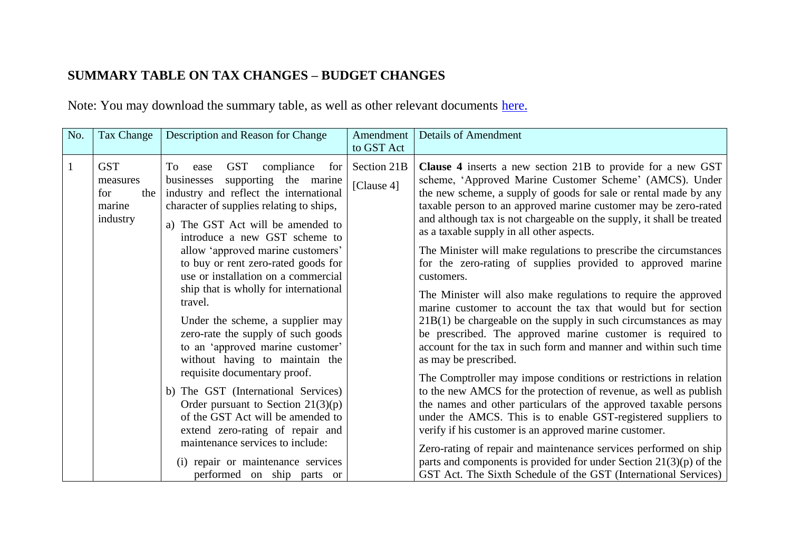## **SUMMARY TABLE ON TAX CHANGES – BUDGET CHANGES**

Note: You may download the summary table, as well as other relevant documents [here.](http://app.mof.gov.sg/pc_gst_2011_downloads.aspx)

| No.          | Tax Change                                                 | Description and Reason for Change                                                                                                                                                                                                                                                                                                                                                                                                                                                                                                                                                                                                                                                                                                                                                                                                                                         | Amendment<br>to GST Act   | <b>Details of Amendment</b>                                                                                                                                                                                                                                                                                                                                                                                                                                                                                                                                                                                                                                                                                                                                                                                                                                                                                                                                                                                                                                                                                                                                                                                                                                                                                                                                                                                                                                             |
|--------------|------------------------------------------------------------|---------------------------------------------------------------------------------------------------------------------------------------------------------------------------------------------------------------------------------------------------------------------------------------------------------------------------------------------------------------------------------------------------------------------------------------------------------------------------------------------------------------------------------------------------------------------------------------------------------------------------------------------------------------------------------------------------------------------------------------------------------------------------------------------------------------------------------------------------------------------------|---------------------------|-------------------------------------------------------------------------------------------------------------------------------------------------------------------------------------------------------------------------------------------------------------------------------------------------------------------------------------------------------------------------------------------------------------------------------------------------------------------------------------------------------------------------------------------------------------------------------------------------------------------------------------------------------------------------------------------------------------------------------------------------------------------------------------------------------------------------------------------------------------------------------------------------------------------------------------------------------------------------------------------------------------------------------------------------------------------------------------------------------------------------------------------------------------------------------------------------------------------------------------------------------------------------------------------------------------------------------------------------------------------------------------------------------------------------------------------------------------------------|
| $\mathbf{1}$ | <b>GST</b><br>measures<br>the<br>for<br>marine<br>industry | <b>GST</b><br>compliance<br>To<br>for  <br>ease<br>supporting the marine<br>businesses<br>industry and reflect the international<br>character of supplies relating to ships,<br>a) The GST Act will be amended to<br>introduce a new GST scheme to<br>allow 'approved marine customers'<br>to buy or rent zero-rated goods for<br>use or installation on a commercial<br>ship that is wholly for international<br>travel.<br>Under the scheme, a supplier may<br>zero-rate the supply of such goods<br>to an 'approved marine customer'<br>without having to maintain the<br>requisite documentary proof.<br>b) The GST (International Services)<br>Order pursuant to Section $21(3)(p)$<br>of the GST Act will be amended to<br>extend zero-rating of repair and<br>maintenance services to include:<br>(i) repair or maintenance services<br>performed on ship parts or | Section 21B<br>[Clause 4] | <b>Clause 4</b> inserts a new section 21B to provide for a new GST<br>scheme, 'Approved Marine Customer Scheme' (AMCS). Under<br>the new scheme, a supply of goods for sale or rental made by any<br>taxable person to an approved marine customer may be zero-rated<br>and although tax is not chargeable on the supply, it shall be treated<br>as a taxable supply in all other aspects.<br>The Minister will make regulations to prescribe the circumstances<br>for the zero-rating of supplies provided to approved marine<br>customers.<br>The Minister will also make regulations to require the approved<br>marine customer to account the tax that would but for section<br>$21B(1)$ be chargeable on the supply in such circumstances as may<br>be prescribed. The approved marine customer is required to<br>account for the tax in such form and manner and within such time<br>as may be prescribed.<br>The Comptroller may impose conditions or restrictions in relation<br>to the new AMCS for the protection of revenue, as well as publish<br>the names and other particulars of the approved taxable persons<br>under the AMCS. This is to enable GST-registered suppliers to<br>verify if his customer is an approved marine customer.<br>Zero-rating of repair and maintenance services performed on ship<br>parts and components is provided for under Section $21(3)(p)$ of the<br>GST Act. The Sixth Schedule of the GST (International Services) |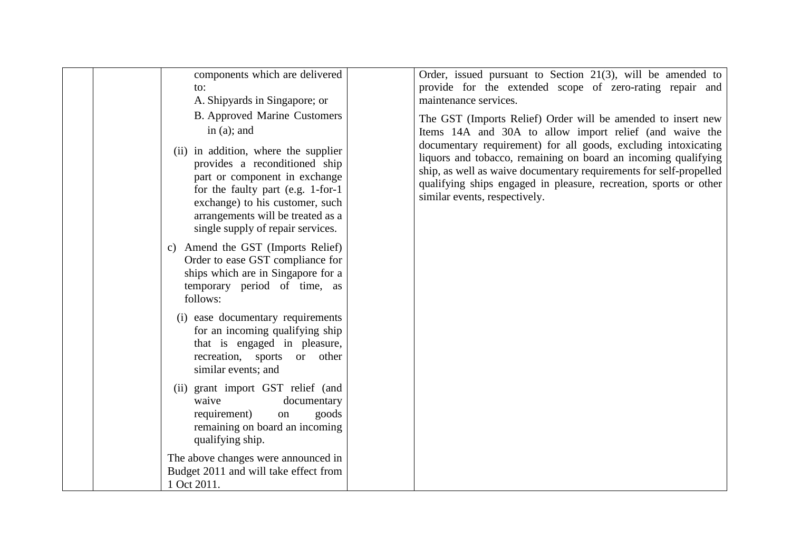| components which are delivered<br>to:<br>A. Shipyards in Singapore; or                                                                                                                                                                                    | Order, issued pursuant to Section $21(3)$ , will be amended to<br>provide for the extended scope of zero-rating repair and<br>maintenance services.                                                                                                                                                          |
|-----------------------------------------------------------------------------------------------------------------------------------------------------------------------------------------------------------------------------------------------------------|--------------------------------------------------------------------------------------------------------------------------------------------------------------------------------------------------------------------------------------------------------------------------------------------------------------|
| <b>B.</b> Approved Marine Customers<br>in $(a)$ ; and                                                                                                                                                                                                     | The GST (Imports Relief) Order will be amended to insert new<br>Items 14A and 30A to allow import relief (and waive the                                                                                                                                                                                      |
| (ii) in addition, where the supplier<br>provides a reconditioned ship<br>part or component in exchange<br>for the faulty part (e.g. 1-for-1)<br>exchange) to his customer, such<br>arrangements will be treated as a<br>single supply of repair services. | documentary requirement) for all goods, excluding intoxicating<br>liquors and tobacco, remaining on board an incoming qualifying<br>ship, as well as waive documentary requirements for self-propelled<br>qualifying ships engaged in pleasure, recreation, sports or other<br>similar events, respectively. |
| c) Amend the GST (Imports Relief)<br>Order to ease GST compliance for<br>ships which are in Singapore for a<br>temporary period of time, as<br>follows:                                                                                                   |                                                                                                                                                                                                                                                                                                              |
| (i) ease documentary requirements<br>for an incoming qualifying ship<br>that is engaged in pleasure,<br>recreation, sports or other<br>similar events; and                                                                                                |                                                                                                                                                                                                                                                                                                              |
| (ii) grant import GST relief (and<br>waive<br>documentary<br>requirement)<br>goods<br>on<br>remaining on board an incoming<br>qualifying ship.                                                                                                            |                                                                                                                                                                                                                                                                                                              |
| The above changes were announced in<br>Budget 2011 and will take effect from<br>1 Oct 2011.                                                                                                                                                               |                                                                                                                                                                                                                                                                                                              |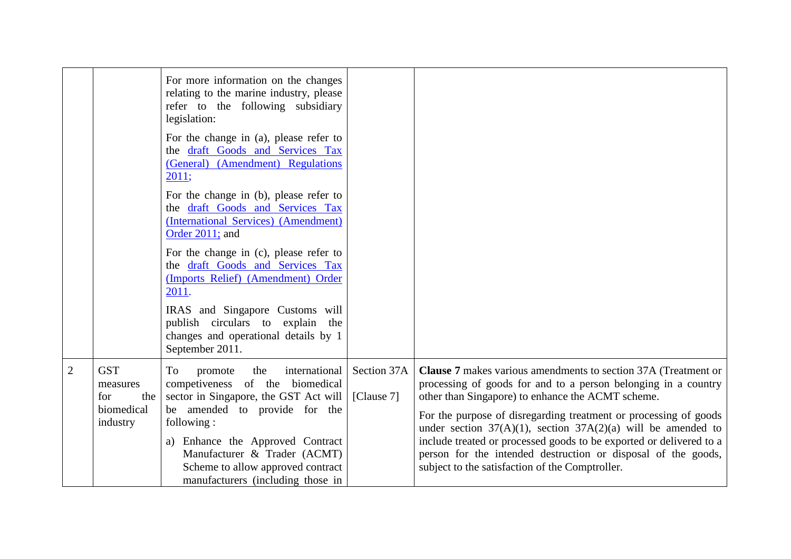|                |                                                                  | For more information on the changes<br>relating to the marine industry, please<br>refer to the following subsidiary<br>legislation:<br>For the change in (a), please refer to<br>the draft Goods and Services Tax<br>(General) (Amendment) Regulations<br>2011;<br>For the change in (b), please refer to<br>the draft Goods and Services Tax<br>(International Services) (Amendment)<br>Order 2011; and<br>For the change in (c), please refer to<br>the draft Goods and Services Tax<br>(Imports Relief) (Amendment) Order<br>2011.<br>IRAS and Singapore Customs will<br>publish circulars to explain the<br>changes and operational details by 1<br>September 2011. |                           |                                                                                                                                                                                                                                                                                                                                                                                                                                                                                                                                  |
|----------------|------------------------------------------------------------------|-------------------------------------------------------------------------------------------------------------------------------------------------------------------------------------------------------------------------------------------------------------------------------------------------------------------------------------------------------------------------------------------------------------------------------------------------------------------------------------------------------------------------------------------------------------------------------------------------------------------------------------------------------------------------|---------------------------|----------------------------------------------------------------------------------------------------------------------------------------------------------------------------------------------------------------------------------------------------------------------------------------------------------------------------------------------------------------------------------------------------------------------------------------------------------------------------------------------------------------------------------|
| $\overline{2}$ | <b>GST</b><br>measures<br>the  <br>for<br>biomedical<br>industry | international<br>To<br>the<br>promote<br>competiveness of the biomedical<br>sector in Singapore, the GST Act will<br>be amended to provide for the<br>following:<br>a) Enhance the Approved Contract<br>Manufacturer & Trader (ACMT)<br>Scheme to allow approved contract<br>manufacturers (including those in                                                                                                                                                                                                                                                                                                                                                          | Section 37A<br>[Clause 7] | <b>Clause 7</b> makes various amendments to section 37A (Treatment or<br>processing of goods for and to a person belonging in a country<br>other than Singapore) to enhance the ACMT scheme.<br>For the purpose of disregarding treatment or processing of goods<br>under section $37(A)(1)$ , section $37A(2)(a)$ will be amended to<br>include treated or processed goods to be exported or delivered to a<br>person for the intended destruction or disposal of the goods,<br>subject to the satisfaction of the Comptroller. |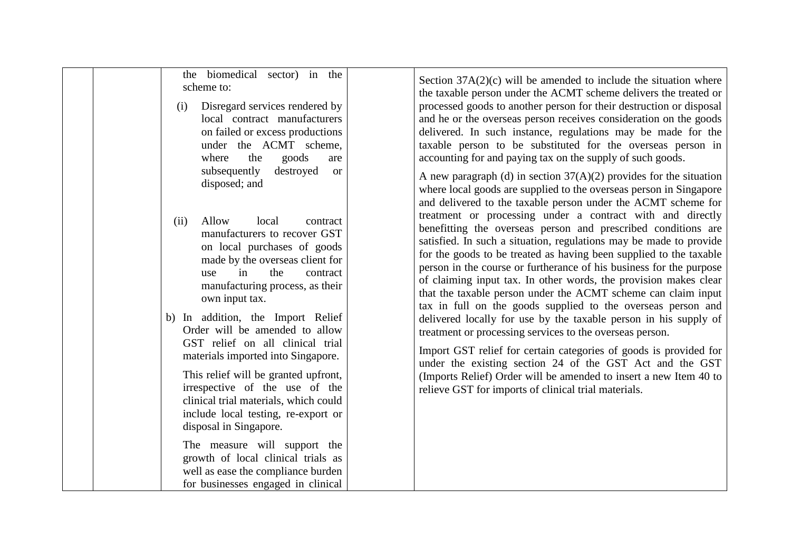| the biomedical sector) in the<br>scheme to:<br>Disregard services rendered by<br>(i)<br>local contract manufacturers<br>on failed or excess productions<br>under the ACMT scheme,<br>goods<br>the<br>where<br>are<br>subsequently<br>destroyed<br><b>or</b><br>disposed; and                                                                                                                                                                                                                                                                                                                                                                                                                                     | Section $37A(2)(c)$ will be amended to include the situation where<br>the taxable person under the ACMT scheme delivers the treated or<br>processed goods to another person for their destruction or disposal<br>and he or the overseas person receives consideration on the goods<br>delivered. In such instance, regulations may be made for the<br>taxable person to be substituted for the overseas person in<br>accounting for and paying tax on the supply of such goods.<br>A new paragraph (d) in section $37(A)(2)$ provides for the situation<br>where local goods are supplied to the overseas person in Singapore<br>and delivered to the taxable person under the ACMT scheme for                                                                                                                                                                                                                                                    |
|------------------------------------------------------------------------------------------------------------------------------------------------------------------------------------------------------------------------------------------------------------------------------------------------------------------------------------------------------------------------------------------------------------------------------------------------------------------------------------------------------------------------------------------------------------------------------------------------------------------------------------------------------------------------------------------------------------------|---------------------------------------------------------------------------------------------------------------------------------------------------------------------------------------------------------------------------------------------------------------------------------------------------------------------------------------------------------------------------------------------------------------------------------------------------------------------------------------------------------------------------------------------------------------------------------------------------------------------------------------------------------------------------------------------------------------------------------------------------------------------------------------------------------------------------------------------------------------------------------------------------------------------------------------------------|
| Allow<br>local<br>(ii)<br>contract<br>manufacturers to recover GST<br>on local purchases of goods<br>made by the overseas client for<br>the<br>in<br>contract<br>use<br>manufacturing process, as their<br>own input tax.<br>b) In addition, the Import Relief<br>Order will be amended to allow<br>GST relief on all clinical trial<br>materials imported into Singapore.<br>This relief will be granted upfront,<br>irrespective of the use of the<br>clinical trial materials, which could<br>include local testing, re-export or<br>disposal in Singapore.<br>The measure will support the<br>growth of local clinical trials as<br>well as ease the compliance burden<br>for businesses engaged in clinical | treatment or processing under a contract with and directly<br>benefitting the overseas person and prescribed conditions are<br>satisfied. In such a situation, regulations may be made to provide<br>for the goods to be treated as having been supplied to the taxable<br>person in the course or furtherance of his business for the purpose<br>of claiming input tax. In other words, the provision makes clear<br>that the taxable person under the ACMT scheme can claim input<br>tax in full on the goods supplied to the overseas person and<br>delivered locally for use by the taxable person in his supply of<br>treatment or processing services to the overseas person.<br>Import GST relief for certain categories of goods is provided for<br>under the existing section 24 of the GST Act and the GST<br>(Imports Relief) Order will be amended to insert a new Item 40 to<br>relieve GST for imports of clinical trial materials. |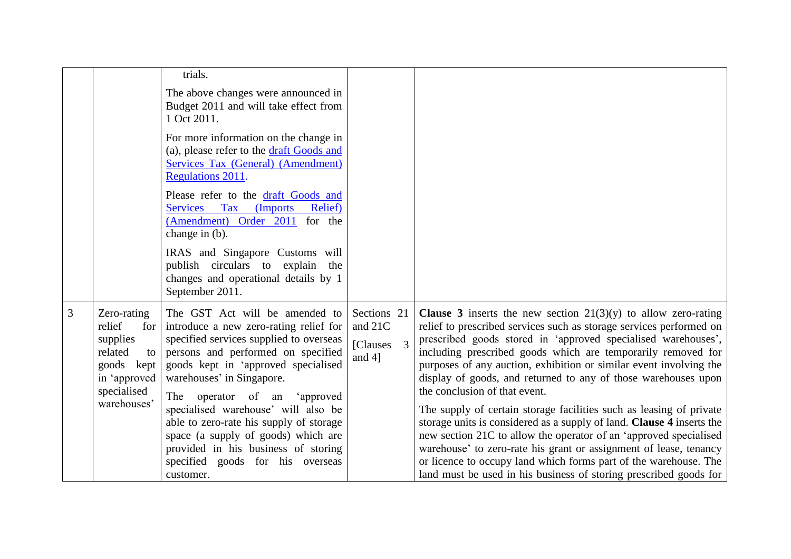|   |                                                                                                                              | trials.                                                                                                                                                                                                                                                                                                                                                                                                                                                                           |                                                                    |                                                                                                                                                                                                                                                                                                                                                                                                                                                                                                                                                                                                                                                                                                                                                                                                                                                                                             |
|---|------------------------------------------------------------------------------------------------------------------------------|-----------------------------------------------------------------------------------------------------------------------------------------------------------------------------------------------------------------------------------------------------------------------------------------------------------------------------------------------------------------------------------------------------------------------------------------------------------------------------------|--------------------------------------------------------------------|---------------------------------------------------------------------------------------------------------------------------------------------------------------------------------------------------------------------------------------------------------------------------------------------------------------------------------------------------------------------------------------------------------------------------------------------------------------------------------------------------------------------------------------------------------------------------------------------------------------------------------------------------------------------------------------------------------------------------------------------------------------------------------------------------------------------------------------------------------------------------------------------|
|   |                                                                                                                              | The above changes were announced in<br>Budget 2011 and will take effect from<br>1 Oct 2011.                                                                                                                                                                                                                                                                                                                                                                                       |                                                                    |                                                                                                                                                                                                                                                                                                                                                                                                                                                                                                                                                                                                                                                                                                                                                                                                                                                                                             |
|   |                                                                                                                              | For more information on the change in<br>(a), please refer to the draft Goods and<br><b>Services Tax (General) (Amendment)</b><br>Regulations 2011.                                                                                                                                                                                                                                                                                                                               |                                                                    |                                                                                                                                                                                                                                                                                                                                                                                                                                                                                                                                                                                                                                                                                                                                                                                                                                                                                             |
|   |                                                                                                                              | Please refer to the draft Goods and<br>Services Tax (Imports<br>Relief)<br>(Amendment) Order 2011 for the<br>change in (b).                                                                                                                                                                                                                                                                                                                                                       |                                                                    |                                                                                                                                                                                                                                                                                                                                                                                                                                                                                                                                                                                                                                                                                                                                                                                                                                                                                             |
|   |                                                                                                                              | IRAS and Singapore Customs will<br>publish circulars to explain the<br>changes and operational details by 1<br>September 2011.                                                                                                                                                                                                                                                                                                                                                    |                                                                    |                                                                                                                                                                                                                                                                                                                                                                                                                                                                                                                                                                                                                                                                                                                                                                                                                                                                                             |
| 3 | Zero-rating<br>relief<br>$for \,  $<br>supplies<br>related<br>to<br>goods kept<br>in 'approved<br>specialised<br>warehouses' | The GST Act will be amended to<br>introduce a new zero-rating relief for<br>specified services supplied to overseas<br>persons and performed on specified<br>goods kept in 'approved specialised<br>warehouses' in Singapore.<br>The operator of an<br>'approved<br>specialised warehouse' will also be<br>able to zero-rate his supply of storage<br>space (a supply of goods) which are<br>provided in his business of storing<br>specified goods for his overseas<br>customer. | Sections 21<br>and 21C<br>$\overline{3}$<br>[Clauses]<br>and $4$ ] | <b>Clause 3</b> inserts the new section $21(3)(y)$ to allow zero-rating<br>relief to prescribed services such as storage services performed on<br>prescribed goods stored in 'approved specialised warehouses',<br>including prescribed goods which are temporarily removed for<br>purposes of any auction, exhibition or similar event involving the<br>display of goods, and returned to any of those warehouses upon<br>the conclusion of that event.<br>The supply of certain storage facilities such as leasing of private<br>storage units is considered as a supply of land. Clause 4 inserts the<br>new section 21C to allow the operator of an 'approved specialised<br>warehouse' to zero-rate his grant or assignment of lease, tenancy<br>or licence to occupy land which forms part of the warehouse. The<br>land must be used in his business of storing prescribed goods for |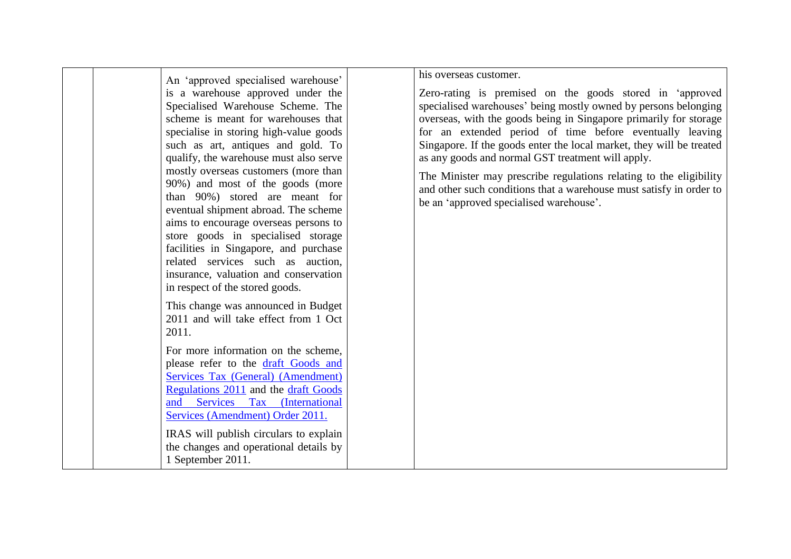|                                                                                                                                                                                                                                                                                                                                                                                                                                                                                                                                                                                                                                                                               | his overseas customer.                                                                                                                                                                                                                                                                                                                                                                                                                                                                                                                                                            |
|-------------------------------------------------------------------------------------------------------------------------------------------------------------------------------------------------------------------------------------------------------------------------------------------------------------------------------------------------------------------------------------------------------------------------------------------------------------------------------------------------------------------------------------------------------------------------------------------------------------------------------------------------------------------------------|-----------------------------------------------------------------------------------------------------------------------------------------------------------------------------------------------------------------------------------------------------------------------------------------------------------------------------------------------------------------------------------------------------------------------------------------------------------------------------------------------------------------------------------------------------------------------------------|
| An 'approved specialised warehouse'<br>is a warehouse approved under the<br>Specialised Warehouse Scheme. The<br>scheme is meant for warehouses that<br>specialise in storing high-value goods<br>such as art, antiques and gold. To<br>qualify, the warehouse must also serve<br>mostly overseas customers (more than<br>90%) and most of the goods (more<br>than 90%) stored are meant for<br>eventual shipment abroad. The scheme<br>aims to encourage overseas persons to<br>store goods in specialised storage<br>facilities in Singapore, and purchase<br>related services such as auction,<br>insurance, valuation and conservation<br>in respect of the stored goods. | Zero-rating is premised on the goods stored in 'approved<br>specialised warehouses' being mostly owned by persons belonging<br>overseas, with the goods being in Singapore primarily for storage<br>for an extended period of time before eventually leaving<br>Singapore. If the goods enter the local market, they will be treated<br>as any goods and normal GST treatment will apply.<br>The Minister may prescribe regulations relating to the eligibility<br>and other such conditions that a warehouse must satisfy in order to<br>be an 'approved specialised warehouse'. |
| This change was announced in Budget<br>2011 and will take effect from 1 Oct<br>2011.                                                                                                                                                                                                                                                                                                                                                                                                                                                                                                                                                                                          |                                                                                                                                                                                                                                                                                                                                                                                                                                                                                                                                                                                   |
| For more information on the scheme,<br>please refer to the draft Goods and<br><b>Services Tax (General) (Amendment)</b><br>Regulations 2011 and the draft Goods<br>and Services Tax (International<br>Services (Amendment) Order 2011.                                                                                                                                                                                                                                                                                                                                                                                                                                        |                                                                                                                                                                                                                                                                                                                                                                                                                                                                                                                                                                                   |
| IRAS will publish circulars to explain<br>the changes and operational details by<br>1 September 2011.                                                                                                                                                                                                                                                                                                                                                                                                                                                                                                                                                                         |                                                                                                                                                                                                                                                                                                                                                                                                                                                                                                                                                                                   |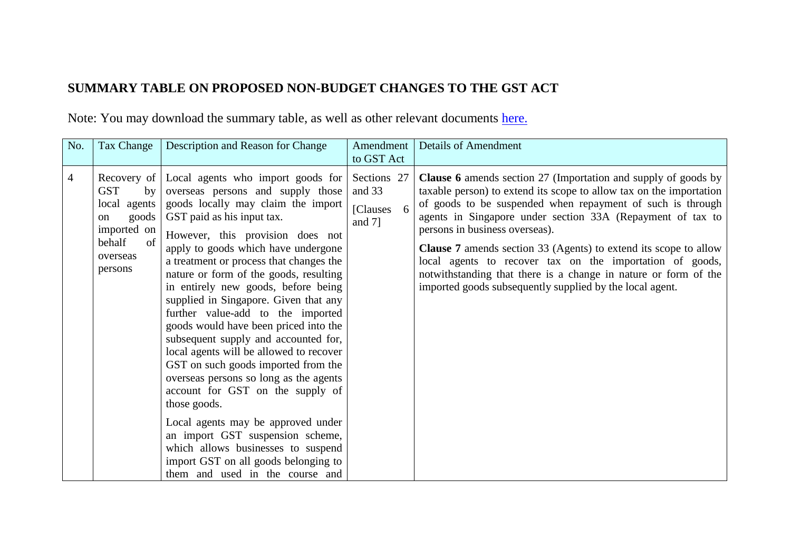## **SUMMARY TABLE ON PROPOSED NON-BUDGET CHANGES TO THE GST ACT**

Note: You may download the summary table, as well as other relevant documents [here.](http://app.mof.gov.sg/pc_gst_2011_downloads.aspx)

| No.            | Tax Change                                                                                            | Description and Reason for Change                                                                                                                                                                                                                                                                                                                                                                                                                                                                                                                                                                                                                                                                                                                                                                                                                                                                       | Amendment<br>to GST Act                          | <b>Details of Amendment</b>                                                                                                                                                                                                                                                                                                                                                                                                                                                                                                                                                      |
|----------------|-------------------------------------------------------------------------------------------------------|---------------------------------------------------------------------------------------------------------------------------------------------------------------------------------------------------------------------------------------------------------------------------------------------------------------------------------------------------------------------------------------------------------------------------------------------------------------------------------------------------------------------------------------------------------------------------------------------------------------------------------------------------------------------------------------------------------------------------------------------------------------------------------------------------------------------------------------------------------------------------------------------------------|--------------------------------------------------|----------------------------------------------------------------------------------------------------------------------------------------------------------------------------------------------------------------------------------------------------------------------------------------------------------------------------------------------------------------------------------------------------------------------------------------------------------------------------------------------------------------------------------------------------------------------------------|
| $\overline{4}$ | <b>GST</b><br>by<br>local agents<br>goods<br>on<br>imported on<br>of<br>behalf<br>overseas<br>persons | Recovery of Local agents who import goods for<br>overseas persons and supply those<br>goods locally may claim the import<br>GST paid as his input tax.<br>However, this provision does not<br>apply to goods which have undergone<br>a treatment or process that changes the<br>nature or form of the goods, resulting<br>in entirely new goods, before being<br>supplied in Singapore. Given that any<br>further value-add to the imported<br>goods would have been priced into the<br>subsequent supply and accounted for,<br>local agents will be allowed to recover<br>GST on such goods imported from the<br>overseas persons so long as the agents<br>account for GST on the supply of<br>those goods.<br>Local agents may be approved under<br>an import GST suspension scheme,<br>which allows businesses to suspend<br>import GST on all goods belonging to<br>them and used in the course and | Sections 27<br>and 33<br>[Clauses 6<br>and $7$ ] | <b>Clause 6</b> amends section 27 (Importation and supply of goods by<br>taxable person) to extend its scope to allow tax on the importation<br>of goods to be suspended when repayment of such is through<br>agents in Singapore under section 33A (Repayment of tax to<br>persons in business overseas).<br><b>Clause 7</b> amends section 33 (Agents) to extend its scope to allow<br>local agents to recover tax on the importation of goods,<br>notwithstanding that there is a change in nature or form of the<br>imported goods subsequently supplied by the local agent. |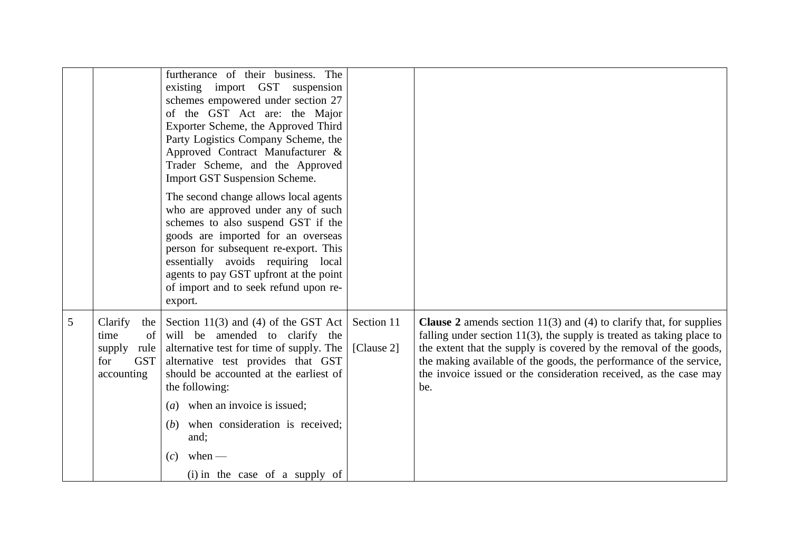|   |                                                                                     | furtherance of their business. The<br>existing import GST suspension<br>schemes empowered under section 27<br>of the GST Act are: the Major<br>Exporter Scheme, the Approved Third<br>Party Logistics Company Scheme, the<br>Approved Contract Manufacturer &<br>Trader Scheme, and the Approved<br>Import GST Suspension Scheme.<br>The second change allows local agents<br>who are approved under any of such<br>schemes to also suspend GST if the<br>goods are imported for an overseas<br>person for subsequent re-export. This<br>essentially avoids requiring local<br>agents to pay GST upfront at the point<br>of import and to seek refund upon re-<br>export. |                          |                                                                                                                                                                                                                                                                                                                                                                                  |
|---|-------------------------------------------------------------------------------------|---------------------------------------------------------------------------------------------------------------------------------------------------------------------------------------------------------------------------------------------------------------------------------------------------------------------------------------------------------------------------------------------------------------------------------------------------------------------------------------------------------------------------------------------------------------------------------------------------------------------------------------------------------------------------|--------------------------|----------------------------------------------------------------------------------------------------------------------------------------------------------------------------------------------------------------------------------------------------------------------------------------------------------------------------------------------------------------------------------|
| 5 | Clarify<br>the  <br>time<br>of<br>supply<br>rule<br>for<br><b>GST</b><br>accounting | Section 11(3) and (4) of the GST Act<br>will be amended to clarify the<br>alternative test for time of supply. The<br>alternative test provides that GST<br>should be accounted at the earliest of<br>the following:<br>when an invoice is issued;<br>(a)<br>when consideration is received;<br>( <i>b</i> )<br>and;<br>$when$ —<br>(c)<br>(i) in the case of a supply of                                                                                                                                                                                                                                                                                                 | Section 11<br>[Clause 2] | <b>Clause 2</b> amends section $11(3)$ and (4) to clarify that, for supplies<br>falling under section $11(3)$ , the supply is treated as taking place to<br>the extent that the supply is covered by the removal of the goods,<br>the making available of the goods, the performance of the service,<br>the invoice issued or the consideration received, as the case may<br>be. |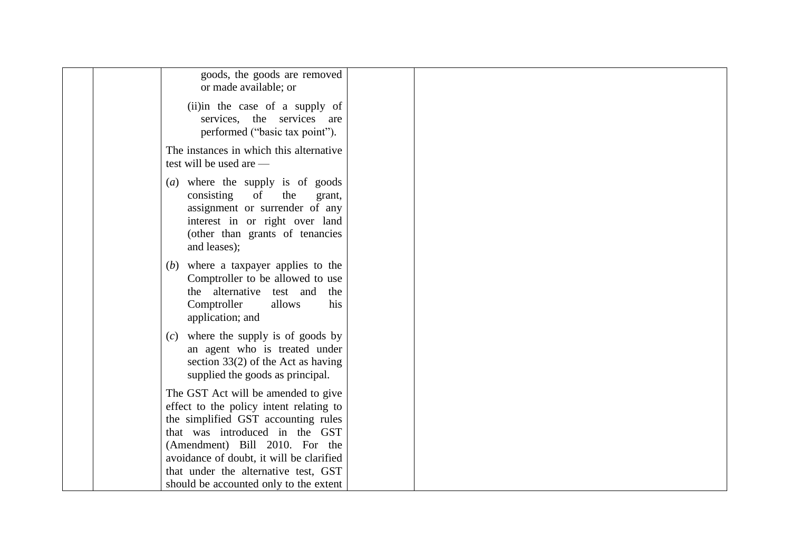| goods, the goods are removed<br>or made available; or                                                                                                                                                                                 |  |  |
|---------------------------------------------------------------------------------------------------------------------------------------------------------------------------------------------------------------------------------------|--|--|
| (ii)in the case of a supply of<br>services, the services are<br>performed ("basic tax point").                                                                                                                                        |  |  |
| The instances in which this alternative<br>test will be used are —                                                                                                                                                                    |  |  |
| (a) where the supply is of goods<br>consisting<br>of<br>the<br>grant,<br>assignment or surrender of any<br>interest in or right over land<br>(other than grants of tenancies<br>and leases);                                          |  |  |
| where a taxpayer applies to the<br>(b)<br>Comptroller to be allowed to use<br>the alternative test and<br>the<br>Comptroller<br>his<br>allows<br>application; and                                                                     |  |  |
| $(c)$ where the supply is of goods by<br>an agent who is treated under<br>section $33(2)$ of the Act as having<br>supplied the goods as principal.                                                                                    |  |  |
| The GST Act will be amended to give<br>effect to the policy intent relating to<br>the simplified GST accounting rules<br>that was introduced in the GST<br>(Amendment) Bill 2010. For the<br>avoidance of doubt, it will be clarified |  |  |
| that under the alternative test, GST<br>should be accounted only to the extent                                                                                                                                                        |  |  |